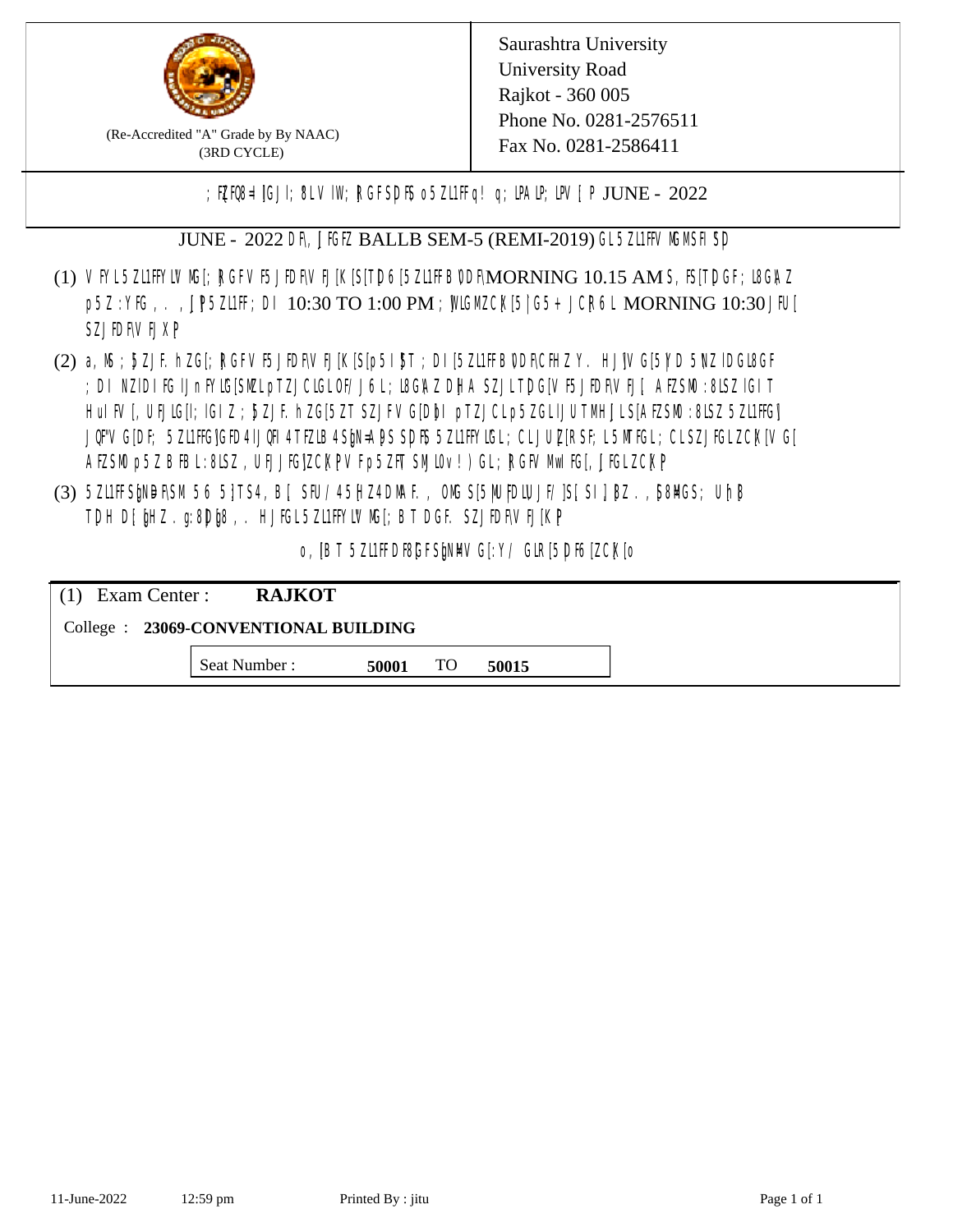

(Re-Accredited "A" Grade by By NAAC) (3RD CYCLE)

; PERB= IGJI; 8L VIW; RGFSDIS o 5ZL1 Fig! q; DAIP; DV[; P JUNE - 2022

JUNE - 2022 DR, JIGIZ BALLB SEM-5 (REMI-2019) GL5Z11FFVMMSH SD

- (1) VFYL5Z11FFYLVMC[; RGFVF5JEDF\VEJ[K[S[T]D6[5Z11FFB0DF\MORNING 10.15 AM S, IS[T]DGF; I8G\AZ p5Z : YKG, . , UP5ZL1FF; DI 10:30 TO 1:00 PM ; WCGM CK[5| G5+ JCR6L MORNING 10:30 JFU[ **SZJIDFVEJXP**
- (2) a, M ; BZJE hZG[; RGFVE5JIDF\VEJ[K[S[p5I]\$T ; DI[5ZI1IFB\DDF\CHIZ Y. HJ]\VG[5|YD 5\VZ lDGI8GF ; DI NZIDI K; IJnFYIG[SMLpTZJCIGLOF/J6L; ISGAZ DHA SZJLTDG[VF5JEDF\VEJ[, AEZSM0 :8LSZ IGIT] HuIFV[, UEJG[]; IGIZ ; 5ZJF. hZG[5ZT SZJFVG[DbI pTZJCLp5ZGLIJUTMHJLS[AEZSM0 :8LSZ 5Z11HG] JQFVG[DF; 5Z11HG]GED4 LJQH 4 TEZIB4 SEN= APS SDES 5Z11 HYIGL ;CL JUL [RSF;L 5MTGL ;CL SZJFGL ZCK[ VG[ AESM p5Z BBL:8LSZ, UEJJG|ZCKPVFp5ZFT SMIOv!) GL; RGFVM EG[, JJGLZCKP
- (3) 5ZUFFS&NDF\SM.56 5}TS4, B[, SFU/45HZ4D\MAF., OMS[5|NU|PDIUJF/]S[ SI], [8Z.,[S8]ACS; Uh[8 TDH D[ $jHZ$ .g:8D $jg$ ,. HJ $KL$ 5ZL1FFYLVMS[;BT DGF. SZJEDFIVEJ[KP]

o, JBT 5Z11FDBGFSPNMG[:Y/ GIR[5DF6]ZCK[0

| $(1)$ Exam Center :                   | <b>RAJKOT</b> |       |     |       |  |  |
|---------------------------------------|---------------|-------|-----|-------|--|--|
| College : 23069-CONVENTIONAL BUILDING |               |       |     |       |  |  |
|                                       | Seat Number : | 50001 | TO. | 50015 |  |  |